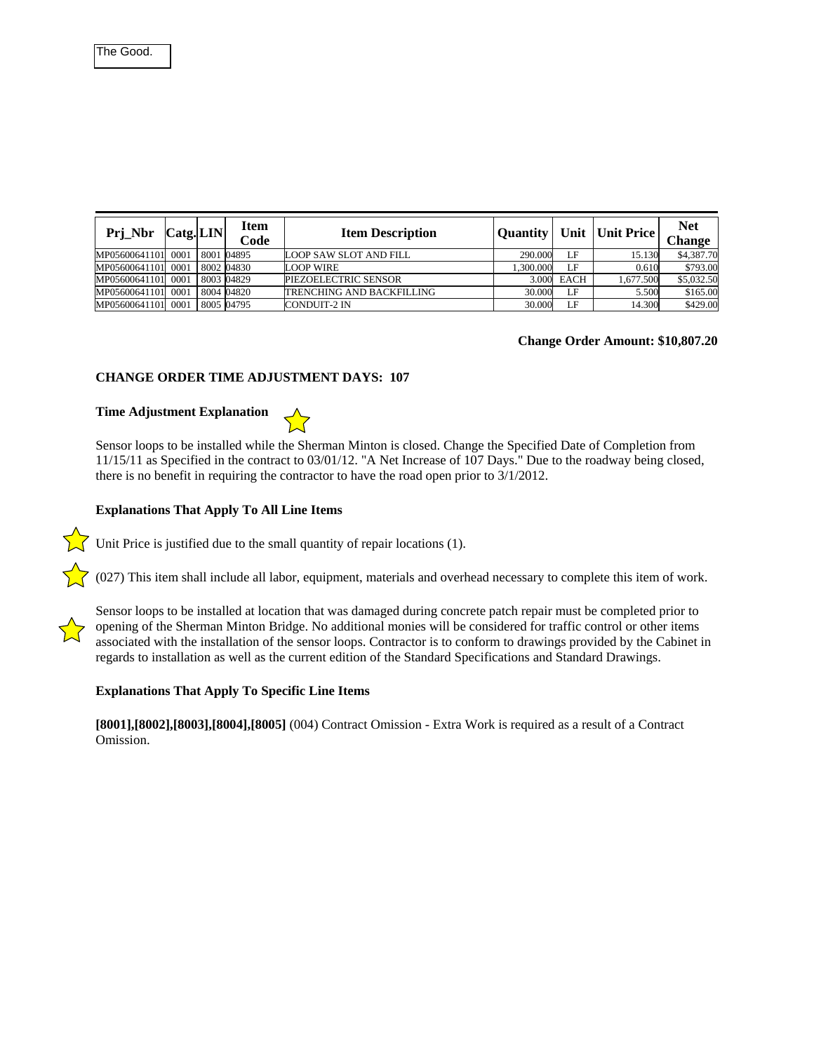| Prj_Nbr       | $\text{Catg.} \text{LIN} $ | Item<br>Code | <b>Item Description</b>          | <b>Ouantity</b> |      | Unit   Unit Price | <b>Net</b><br><b>Change</b> |
|---------------|----------------------------|--------------|----------------------------------|-----------------|------|-------------------|-----------------------------|
| MP05600641101 | 0001                       | 8001 04895   | <b>LOOP SAW SLOT AND FILL</b>    | 290.000         | τF   | 15.130            | \$4,387.70                  |
| MP05600641101 | 0001                       | 8002 04830   | LOOP WIRE                        | 1.300.000       | LF   | 0.610             | \$793.00                    |
| MP05600641101 | 0001                       | 8003 04829   | PIEZOELECTRIC SENSOR             | 3.000           | EACH | 1.677.500         | \$5,032.50                  |
| MP05600641101 | 0001                       | 8004 04820   | <b>TRENCHING AND BACKEILLING</b> | 30.000          | LF.  | 5.500             | \$165.00                    |
| MP05600641101 | 0001                       | 8005 04795   | <b>CONDUIT-2 IN</b>              | 30.000          | LF   | 14.300            | \$429.00                    |

## **Change Order Amount: \$10,807.20**

#### **CHANGE ORDER TIME ADJUSTMENT DAYS: 107**

# **Time Adjustment Explanation**



Sensor loops to be installed while the Sherman Minton is closed. Change the Specified Date of Completion from 11/15/11 as Specified in the contract to 03/01/12. "A Net Increase of 107 Days." Due to the roadway being closed, there is no benefit in requiring the contractor to have the road open prior to 3/1/2012.

## **Explanations That Apply To All Line Items**

Unit Price is justified due to the small quantity of repair locations  $(1)$ .

 $\bigtriangledown$  (027) This item shall include all labor, equipment, materials and overhead necessary to complete this item of work.



Sensor loops to be installed at location that was damaged during concrete patch repair must be completed prior to opening of the Sherman Minton Bridge. No additional monies will be considered for traffic control or other items associated with the installation of the sensor loops. Contractor is to conform to drawings provided by the Cabinet in regards to installation as well as the current edition of the Standard Specifications and Standard Drawings.

#### **Explanations That Apply To Specific Line Items**

**[8001],[8002],[8003],[8004],[8005]** (004) Contract Omission - Extra Work is required as a result of a Contract Omission.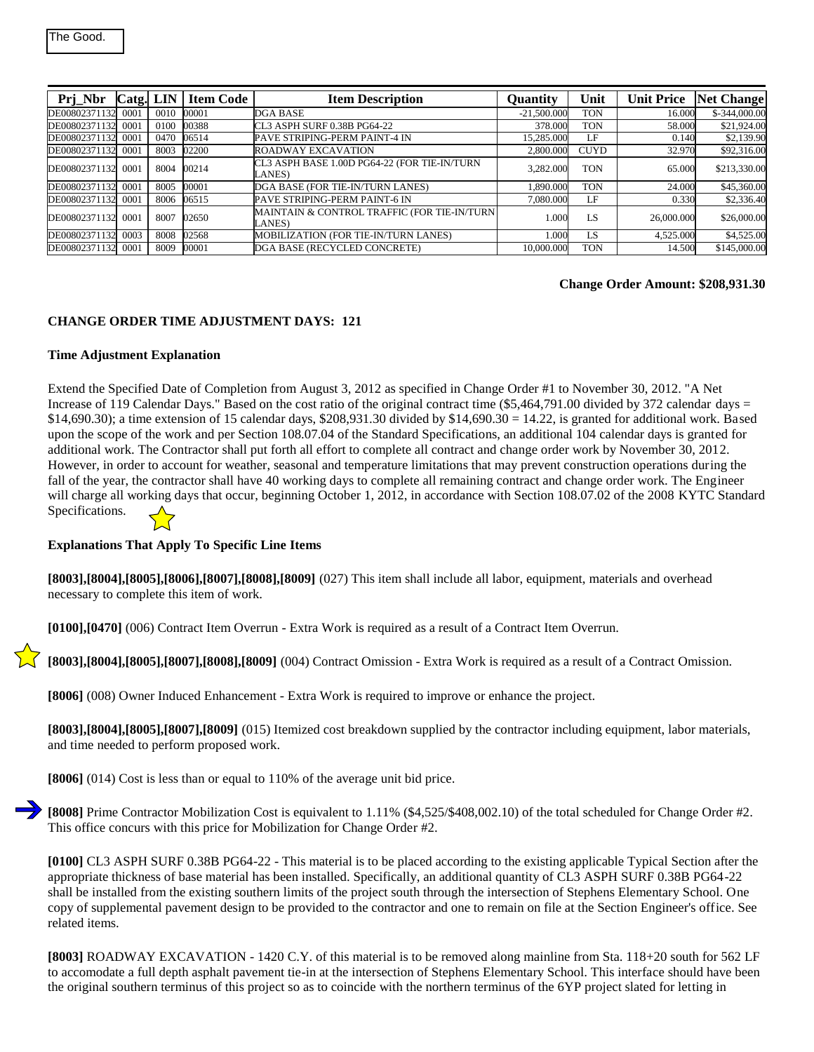| Prj Nbr            | Catg. LIN |      | <b>Item Code</b> | <b>Item Description</b>                                | <b>Ouantity</b> | Unit        | <b>Unit Price</b> | <b>Net Change</b> |
|--------------------|-----------|------|------------------|--------------------------------------------------------|-----------------|-------------|-------------------|-------------------|
| DE00802371132      | 0001      | 0010 | 00001            | DGA BASE                                               | $-21,500,000$   | <b>TON</b>  | 16.000            | \$-344,000.00     |
| DE00802371132      | 0001      | 0100 | 00388            | CL3 ASPH SURF 0.38B PG64-22                            | 378,000         | <b>TON</b>  | 58.000            | \$21,924.00       |
| DE00802371132 0001 |           | 0470 | 06514            | PAVE STRIPING-PERM PAINT-4 IN                          | 15.285.000      | LF          | 0.140             | \$2,139.90        |
| DE00802371132 0001 |           | 8003 | 02200            | <b>ROADWAY EXCAVATION</b>                              | 2,800,000       | <b>CUYD</b> | 32.970            | \$92,316.00       |
| DE00802371132 0001 |           | 8004 | 00214            | CL3 ASPH BASE 1.00D PG64-22 (FOR TIE-IN/TURN<br>LANES) | 3.282.000       | <b>TON</b>  | 65.000            | \$213,330.00      |
| DE00802371132 0001 |           | 8005 | 00001            | DGA BASE (FOR TIE-IN/TURN LANES)                       | 1.890.000       | <b>TON</b>  | 24.000            | \$45,360.00       |
| DE00802371132 0001 |           |      | 8006 06515       | PAVE STRIPING-PERM PAINT-6 IN                          | 7,080.000       | LF          | 0.330             | \$2,336.40        |
| DE00802371132 0001 |           | 8007 | 02650            | MAINTAIN & CONTROL TRAFFIC (FOR TIE-IN/TURN)<br>LANES) | 1.000           | LS          | 26,000.000        | \$26,000.00       |
| DE00802371132      | 0003      | 8008 | 02568            | MOBILIZATION (FOR TIE-IN/TURN LANES)                   | 1.000           | LS          | 4,525.000         | \$4,525.00        |
| DE00802371132 0001 |           | 8009 | 00001            | DGA BASE (RECYCLED CONCRETE)                           | 10,000,000      | <b>TON</b>  | 14.500            | \$145,000.00      |

#### **Change Order Amount: \$208,931.30**

## **CHANGE ORDER TIME ADJUSTMENT DAYS: 121**

## **Time Adjustment Explanation**

Extend the Specified Date of Completion from August 3, 2012 as specified in Change Order #1 to November 30, 2012. "A Net Increase of 119 Calendar Days." Based on the cost ratio of the original contract time  $(\$5,464,791.00$  divided by 372 calendar days =  $$14,690.30$ ; a time extension of 15 calendar days,  $$208,931.30$  divided by  $$14,690.30 = 14.22$ , is granted for additional work. Based upon the scope of the work and per Section 108.07.04 of the Standard Specifications, an additional 104 calendar days is granted for additional work. The Contractor shall put forth all effort to complete all contract and change order work by November 30, 2012. However, in order to account for weather, seasonal and temperature limitations that may prevent construction operations during the fall of the year, the contractor shall have 40 working days to complete all remaining contract and change order work. The Engineer will charge all working days that occur, beginning October 1, 2012, in accordance with Section 108.07.02 of the 2008 KYTC Standard Specifications.

**Explanations That Apply To Specific Line Items**

**[8003],[8004],[8005],[8006],[8007],[8008],[8009]** (027) This item shall include all labor, equipment, materials and overhead necessary to complete this item of work.

**[0100],[0470]** (006) Contract Item Overrun - Extra Work is required as a result of a Contract Item Overrun.

**[8003],[8004],[8005],[8007],[8008],[8009]** (004) Contract Omission - Extra Work is required as a result of a Contract Omission.

**[8006]** (008) Owner Induced Enhancement - Extra Work is required to improve or enhance the project.

**[8003],[8004],[8005],[8007],[8009]** (015) Itemized cost breakdown supplied by the contractor including equipment, labor materials, and time needed to perform proposed work.

**[8006]** (014) Cost is less than or equal to 110% of the average unit bid price.

**[8008]** Prime Contractor Mobilization Cost is equivalent to 1.11% (\$4,525/\$408,002.10) of the total scheduled for Change Order #2. This office concurs with this price for Mobilization for Change Order #2.

**[0100]** CL3 ASPH SURF 0.38B PG64-22 - This material is to be placed according to the existing applicable Typical Section after the appropriate thickness of base material has been installed. Specifically, an additional quantity of CL3 ASPH SURF 0.38B PG64-22 shall be installed from the existing southern limits of the project south through the intersection of Stephens Elementary School. One copy of supplemental pavement design to be provided to the contractor and one to remain on file at the Section Engineer's office. See related items.

**[8003]** ROADWAY EXCAVATION - 1420 C.Y. of this material is to be removed along mainline from Sta. 118+20 south for 562 LF to accomodate a full depth asphalt pavement tie-in at the intersection of Stephens Elementary School. This interface should have been the original southern terminus of this project so as to coincide with the northern terminus of the 6YP project slated for letting in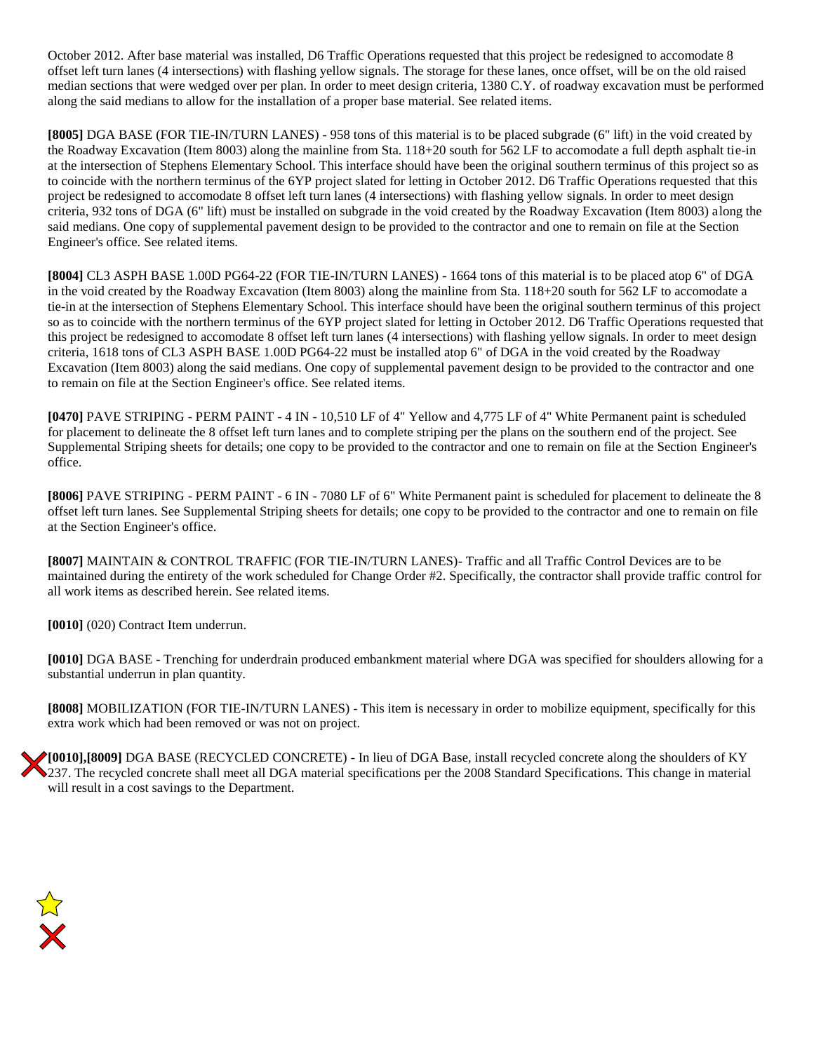October 2012. After base material was installed, D6 Traffic Operations requested that this project be redesigned to accomodate 8 offset left turn lanes (4 intersections) with flashing yellow signals. The storage for these lanes, once offset, will be on the old raised median sections that were wedged over per plan. In order to meet design criteria, 1380 C.Y. of roadway excavation must be performed along the said medians to allow for the installation of a proper base material. See related items.

**[8005]** DGA BASE (FOR TIE-IN/TURN LANES) - 958 tons of this material is to be placed subgrade (6" lift) in the void created by the Roadway Excavation (Item 8003) along the mainline from Sta. 118+20 south for 562 LF to accomodate a full depth asphalt tie-in at the intersection of Stephens Elementary School. This interface should have been the original southern terminus of this project so as to coincide with the northern terminus of the 6YP project slated for letting in October 2012. D6 Traffic Operations requested that this project be redesigned to accomodate 8 offset left turn lanes (4 intersections) with flashing yellow signals. In order to meet design criteria, 932 tons of DGA (6" lift) must be installed on subgrade in the void created by the Roadway Excavation (Item 8003) along the said medians. One copy of supplemental pavement design to be provided to the contractor and one to remain on file at the Section Engineer's office. See related items.

**[8004]** CL3 ASPH BASE 1.00D PG64-22 (FOR TIE-IN/TURN LANES) - 1664 tons of this material is to be placed atop 6" of DGA in the void created by the Roadway Excavation (Item 8003) along the mainline from Sta. 118+20 south for 562 LF to accomodate a tie-in at the intersection of Stephens Elementary School. This interface should have been the original southern terminus of this project so as to coincide with the northern terminus of the 6YP project slated for letting in October 2012. D6 Traffic Operations requested that this project be redesigned to accomodate 8 offset left turn lanes (4 intersections) with flashing yellow signals. In order to meet design criteria, 1618 tons of CL3 ASPH BASE 1.00D PG64-22 must be installed atop 6" of DGA in the void created by the Roadway Excavation (Item 8003) along the said medians. One copy of supplemental pavement design to be provided to the contractor and one to remain on file at the Section Engineer's office. See related items.

**[0470]** PAVE STRIPING - PERM PAINT - 4 IN - 10,510 LF of 4" Yellow and 4,775 LF of 4" White Permanent paint is scheduled for placement to delineate the 8 offset left turn lanes and to complete striping per the plans on the southern end of the project. See Supplemental Striping sheets for details; one copy to be provided to the contractor and one to remain on file at the Section Engineer's office.

**[8006]** PAVE STRIPING - PERM PAINT - 6 IN - 7080 LF of 6" White Permanent paint is scheduled for placement to delineate the 8 offset left turn lanes. See Supplemental Striping sheets for details; one copy to be provided to the contractor and one to remain on file at the Section Engineer's office.

**[8007]** MAINTAIN & CONTROL TRAFFIC (FOR TIE-IN/TURN LANES)- Traffic and all Traffic Control Devices are to be maintained during the entirety of the work scheduled for Change Order #2. Specifically, the contractor shall provide traffic control for all work items as described herein. See related items.

**[0010]** (020) Contract Item underrun.

**[0010]** DGA BASE - Trenching for underdrain produced embankment material where DGA was specified for shoulders allowing for a substantial underrun in plan quantity.

**[8008]** MOBILIZATION (FOR TIE-IN/TURN LANES) - This item is necessary in order to mobilize equipment, specifically for this extra work which had been removed or was not on project.

**[0010],[8009]** DGA BASE (RECYCLED CONCRETE) - In lieu of DGA Base, install recycled concrete along the shoulders of KY 237. The recycled concrete shall meet all DGA material specifications per the 2008 Standard Specifications. This change in material will result in a cost savings to the Department.

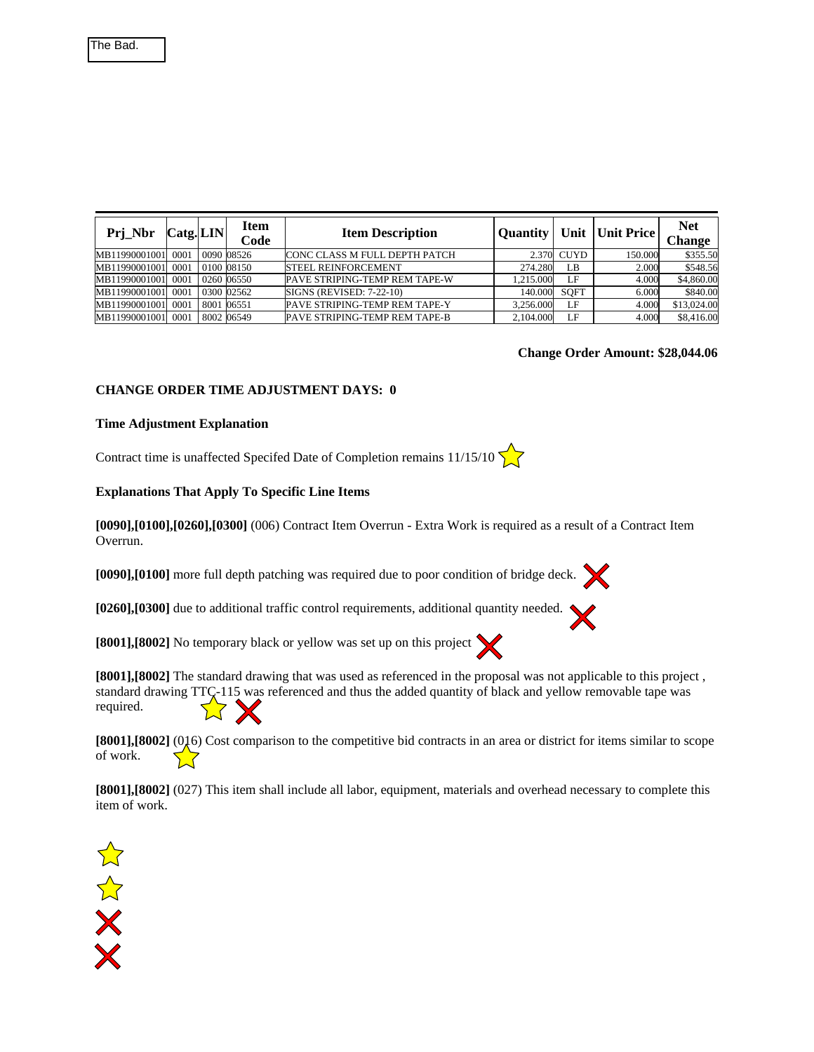| Prj_Nbr       | $\textsf{Cats}$ . LIN | <b>Item</b><br>Code | <b>Item Description</b>              | <b>Ouantity</b> |             | Unit   Unit Price | <b>Net</b><br><b>Change</b> |
|---------------|-----------------------|---------------------|--------------------------------------|-----------------|-------------|-------------------|-----------------------------|
| MB11990001001 | 0001                  | 0090 08526          | <b>CONC CLASS M FULL DEPTH PATCH</b> | 2.370           | <b>CUYD</b> | 150.000           | \$355.50                    |
| MB11990001001 | 0001                  | 0100 08150          | <b>STEEL REINFORCEMENT</b>           | 274.280         | LB          | 2.000             | \$548.56                    |
| MB11990001001 | 0001                  | 0260 06550          | <b>PAVE STRIPING-TEMP REM TAPE-W</b> | 1.215.000       | LF          | 4.000             | \$4,860.00                  |
| MB11990001001 | 0001                  | 0300 02562          | SIGNS (REVISED: 7-22-10)             | 140.000         | <b>SOFT</b> | 6.000             | \$840.00                    |
| MB11990001001 | 0001                  | 8001 06551          | <b>PAVE STRIPING-TEMP REM TAPE-Y</b> | 3.256.000       | LF          | 4.000             | \$13,024.00                 |
| MB11990001001 | 0001                  | 8002 06549          | PAVE STRIPING-TEMP REM TAPE-B        | 2,104.000       | LF          | 4.000             | \$8,416.00                  |

#### **Change Order Amount: \$28,044.06**

## **CHANGE ORDER TIME ADJUSTMENT DAYS: 0**

#### **Time Adjustment Explanation**

Contract time is unaffected Specifed Date of Completion remains  $11/15/10$ 

#### **Explanations That Apply To Specific Line Items**

**[0090],[0100],[0260],[0300]** (006) Contract Item Overrun - Extra Work is required as a result of a Contract Item Overrun.

**[0090],[0100]** more full depth patching was required due to poor condition of bridge deck.

**[0260],[0300]** due to additional traffic control requirements, additional quantity needed.

**[8001],[8002]** No temporary black or yellow was set up on this project

**[8001],[8002]** The standard drawing that was used as referenced in the proposal was not applicable to this project , standard drawing TTC-115 was referenced and thus the added quantity of black and yellow removable tape was required.  $X\times$ 

**[8001],[8002]** (016) Cost comparison to the competitive bid contracts in an area or district for items similar to scope of work.  $\sum$ 

**[8001],[8002]** (027) This item shall include all labor, equipment, materials and overhead necessary to complete this item of work.

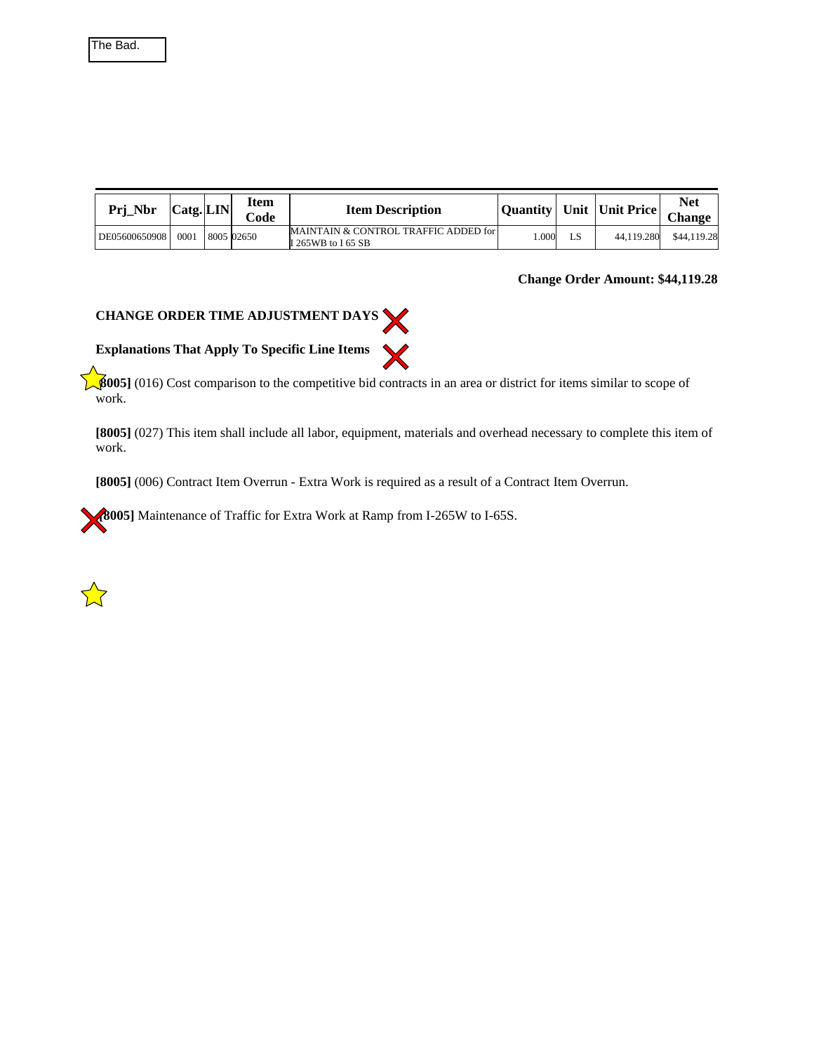| The Bad. |
|----------|
|----------|

| Prj_Nbr       | $\text{Catg.} \mid \text{LIN} \mid$ | rtem<br>$\mathrm{Code}$ | <b>Item Description</b>                                    |      |    | Quantity   Unit   Unit Price | <b>Net</b><br><b>Change</b> |
|---------------|-------------------------------------|-------------------------|------------------------------------------------------------|------|----|------------------------------|-----------------------------|
| DE05600650908 | 0001                                | 8005 02650              | MAINTAIN & CONTROL TRAFFIC ADDED for<br>I 265WB to I 65 SB | .000 | LS | 44.119.280                   | \$44,119.28                 |

## **Change Order Amount: \$44,119.28**



**[8005]** (016) Cost comparison to the competitive bid contracts in an area or district for items similar to scope of work.

**[8005]** (027) This item shall include all labor, equipment, materials and overhead necessary to complete this item of work.

**[8005]** (006) Contract Item Overrun - Extra Work is required as a result of a Contract Item Overrun.

**[8005]** Maintenance of Traffic for Extra Work at Ramp from I-265W to I-65S.